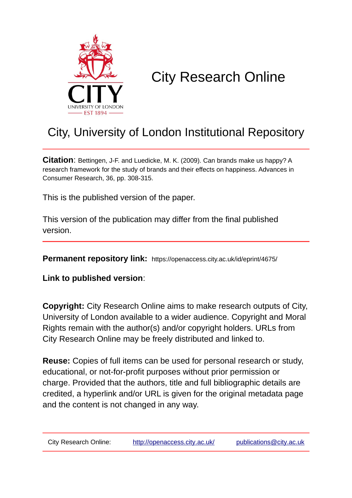

# City Research Online

# City, University of London Institutional Repository

**Citation**: Bettingen, J-F. and Luedicke, M. K. (2009). Can brands make us happy? A research framework for the study of brands and their effects on happiness. Advances in Consumer Research, 36, pp. 308-315.

This is the published version of the paper.

This version of the publication may differ from the final published version.

**Permanent repository link:** https://openaccess.city.ac.uk/id/eprint/4675/

**Link to published version**:

**Copyright:** City Research Online aims to make research outputs of City, University of London available to a wider audience. Copyright and Moral Rights remain with the author(s) and/or copyright holders. URLs from City Research Online may be freely distributed and linked to.

**Reuse:** Copies of full items can be used for personal research or study, educational, or not-for-profit purposes without prior permission or charge. Provided that the authors, title and full bibliographic details are credited, a hyperlink and/or URL is given for the original metadata page and the content is not changed in any way.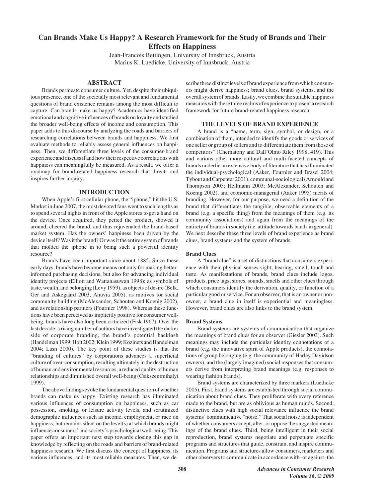# **Can Brands Make Us Happy? A Research Framework for the Study of Brands and Their Effects on Happiness**

Jean-Francois Bettingen, University of Innsbruck, Austria Marius K. Luedicke, University of Innsbruck, Austria

#### **ABSTRACT**

Brands permeate consumer culture. Yet, despite their ubiquitous presence, one of the societally most relevant and fundamental questions of brand existence remains among the most difficult to capture: Can brands make us happy? Academics have identified emotional and cognitive influences of brands on loyalty and studied the broader well-being effects of income and consumption. This paper adds to this discourse by analyzing the roads and barriers of researching correlations between brands and happiness. We first evaluate methods to reliably assess general influences on happiness. Then, we differentiate three levels of the consumer-brand experience and discuss if and how their respective correlations with happiness can meaningfully be measured. As a result, we offer a roadmap for brand-related happiness research that directs and inspires further inquiry.

#### **INTRODUCTION**

When Apple's first cellular phone, the "iphone," hit the U.S. Market in June 2007, the most devoted fans went to such lengths as to spend several nights in front of the Apple stores to get a hand on the device. Once acquired, they petted the product, showed it around, cheered the brand, and thus rejuvenated the brand-based market system. Has the owners' happiness been driven by the device itself? Was it the brand? Or was it the entire system of brands that molded the iphone in to being such a powerful identity resource?

Brands have been important since about 1885. Since these early days, brands have become means not only for making betterinformed purchasing decisions, but also for advancing individual identity projects (Elliott and Wattanasuwan 1998); as symbols of taste, wealth, and belonging (Levy 1959), as objects of desire (Belk, Ger and Askegaard 2003, Ahuvia 2005), as motives for social community building (McAlexander, Schouten and Koenig 2002), and as relationship partners (Fournier 1998). Whereas these functions have been perceived as implicitly positive for consumer wellbeing, brands have also long been criticized (Fisk 1967). Over the last decade, a rising number of authors have investigated the darker side of corporate branding, the brand's potential backlash (Handelman 1999; Holt 2002; Klein 1999; Kozinets and Handelman 2004; Lasn 2000). The key point of these studies is that the "branding of cultures" by corporations advances a superficial culture of over-consumption, resulting ultimately in the destruction of human and environmental resources, a reduced quality of human relationships and diminished overall well-being (Csikszentmihalyi 1999).

The above findings evoke the fundamental question of whether brands can make us happy. Existing research has illuminated various influences of consumption on happiness, such as car possession, smoking, or leisure activity levels, and scrutinized demographic influences such as income, employment, or race on happiness, but remains silent on the level(s) at which brands might influence consumers' and society's psychological well-being. This paper offers an important next step towards closing this gap in knowledge by reflecting on the roads and barriers of brand-related happiness research. We first discuss the concept of happiness, its various influences, and its most reliable measures. Then, we describe three distinct levels of brand experience from which consumers might derive happiness; brand clues, brand systems, and the overall system of brands. Lastly, we combine the suitable happiness measures with these three realms of experience to present a research framework for future brand-related happiness research.

#### **THE LEVELS OF BRAND EXPERIENCE**

A brand is a "name, term, sign, symbol, or design, or a combination of them, intended to identify the goods or services of one seller or group of sellers and to differentiate them from those of competitors" (Chernatony and Dall'Olmo Riley 1998, 419). This and various other more cultural and multi-faceted concepts of brands underlie an extensive body of literature that has illuminated the individual-psychological (Aaker, Fournier and Brasel 2004; Tybout and Carpenter 2001), communal-sociological (Arnould and Thompson 2005; Hellmann 2003; McAlexander, Schouten and Koenig 2002), and economic-managerial (Aaker 1995) merits of branding. However, for our purpose, we need a definition of the brand that differentiates the tangible, observable elements of a brand (e.g. a specific thing) from the meanings of them (e.g. its community associations) and again from the meanings of the entirety of brands in society (i.e. attitude towards bands in general). We next describe these three levels of brand experience as brand clues, brand systems and the system of brands.

#### **Brand Clues**

A "brand clue" is a set of distinctions that consumers experience with their physical senses-sight, hearing, smell, touch and taste. As manifestations of brands, brand clues include logos, products, price tags, stores, sounds, smells and other clues through which consumers identify the derivation, quality, or function of a particular good or service. For an observer, that is an owner or nonowner, a brand clue in itself is experiential and meaningless. However, brand clues are also links to the brand system.

#### **Brand Systems**

Brand systems are systems of communication that organize the meanings of brand clues for an observer (Giesler 2003). Such meanings may include the particular identity connotations of a brand (e.g. the innovative spirit of Apple products), the connotations of group belonging (e.g. the community of Harley Davidson owners), and the (largely imagined) social responses that consumers derive from interpreting brand meanings (e.g. responses to wearing fashion brands).

Brand systems are characterized by three markers (Luedicke 2005). First, brand systems are established through social communication about brand clues. They proliferate with every reference made to the brand, but are as oblivious as human minds. Second, distinctive clues with high social relevance influence the brand systems' communicative "noise." That social noise is independent of whether consumers accept, alter, or oppose the suggested meanings of the brand clues. Third, being intelligent in their social reproduction, brand systems negotiate and perpetuate specific programs and structures that guide, constrain, and inspire communication. Programs and structures allow consumers, marketers and other observers to communicate in accordance with–or against–the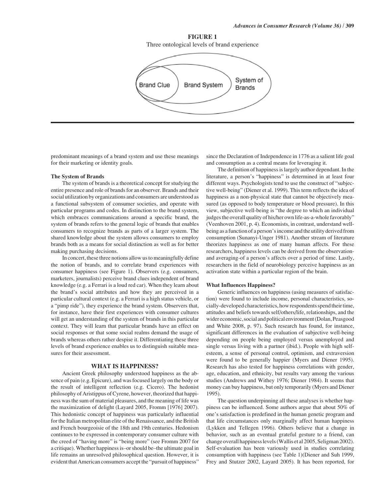

predominant meanings of a brand system and use these meanings for their marketing or identity goals.

#### **The System of Brands**

The system of brands is a theoretical concept for studying the entire presence and role of brands for an observer. Brands and their social utilization by organizations and consumers are understood as a functional subsystem of consumer societies, and operate with particular programs and codes. In distinction to the brand system, which embraces communications around a specific brand, the system of brands refers to the general logic of brands that enables consumers to recognize brands as parts of a larger system. The shared knowledge about the system allows consumers to employ brands both as a means for social distinction as well as for better making purchasing decisions.

In concert, these three notions allow us to meaningfully define the notion of brands, and to correlate brand experiences with consumer happiness (see Figure 1). Observers (e.g. consumers, marketers, journalists) perceive brand clues independent of brand knowledge (e.g. a Ferrari is a loud red car). When they learn about the brand's social attributes and how they are perceived in a particular cultural context (e.g. a Ferrari is a high status vehicle, or a "pimp ride"), they experience the brand system. Observers that, for instance, have their first experiences with consumer cultures will get an understanding of the system of brands in this particular context. They will learn that particular brands have an effect on social responses or that some social realms demand the usage of brands whereas others rather despise it. Differentiating these three levels of brand experience enables us to distinguish suitable measures for their assessment.

#### **WHAT IS HAPPINESS?**

Ancient Greek philosophy understood happiness as the absence of pain (e.g. Epicure), and was focused largely on the body or the result of intelligent reflection (e.g. Cicero). The hedonist philosophy of Aristippus of Cyrene, however, theorized that happiness was the sum of material pleasures, and the meaning of life was the maximization of delight (Layard 2005, Fromm [1976] 2007). This hedonistic concept of happiness was particularly influential for the Italian metropolitan elite of the Renaissance, and the British and French bourgeoisie of the 18th and 19th centuries. Hedonism continues to be expressed in contemporary consumer culture with the creed of "having more" is "being more" (see Fromm 2007 for a critique). Whether happiness is–or should be–the ultimate goal in life remains an unresolved philosophical question. However, it is evident that American consumers accept the "pursuit of happiness"

since the Declaration of Independence in 1776 as a salient life goal and consumption as a central means for leveraging it.

The definition of happiness is largely author dependant. In the literature, a person's "happiness" is determined in at least four different ways. Psychologists tend to use the construct of "subjective well-being" (Diener et al. 1999). This term reflects the idea of happiness as a non-physical state that cannot be objectively measured (as opposed to body temperature or blood pressure). In this view, subjective well-being is "the degree to which an individual judges the overall quality of his/her own life-as-a-whole favorably" (Veenhoven 2001, p. 4). Economists, in contrast, understand wellbeing as a function of a person's income and the utility derived from consumption (Sunanyi-Unger 1981). Another stream of literature theorizes happiness as one of many human affects. For these researchers, happiness levels can be derived from the observationand averaging-of a person's affects over a period of time. Lastly, researchers in the field of neurobiology perceive happiness as an activation state within a particular region of the brain.

#### **What Influences Happiness?**

Generic influences on happiness (using measures of satisfaction) were found to include income, personal characteristics, socially-developed characteristics, how respondents spend their time, attitudes and beliefs towards self/others/life, relationships, and the wider economic, social and political environment (Dolan, Peasgood and White 2008, p. 97). Such research has found, for instance, significant differences in the evaluation of subjective well-being depending on people being employed versus unemployed and single versus living with a partner (ibid.). People with high selfesteem, a sense of personal control, optimism, and extraversion were found to be generally happier (Myers and Diener 1995). Research has also tested for happiness correlations with gender, age, education, and ethnicity, but results vary among the various studies (Andrews and Withey 1976; Diener 1984). It seems that money can buy happiness, but only temporarily (Myers and Diener 1995).

The question underpinning all these analyses is whether happiness can be influenced. Some authors argue that about 50% of one's satisfaction is predefined in the human genetic program and that life circumstances only marginally affect human happiness (Lykken and Tellegen 1996). Others believe that a change in behavior, such as an eventual grateful gesture to a friend, can change overall happiness levels (Wallis et al 2005, Seligman 2002). Self-evaluation has been variously used in studies correlating consumption with happiness (see Table 1)(Diener and Suh 1999, Frey and Stutzer 2002, Layard 2005). It has been reported, for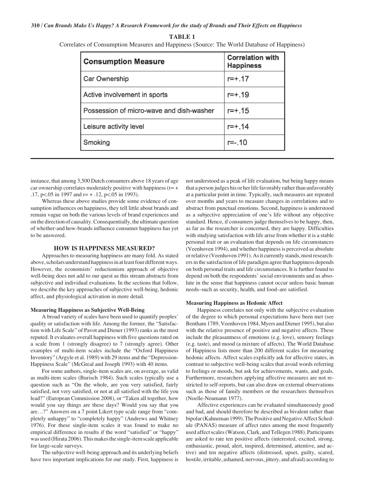**310 /** *Can Brands Make Us Happy? A Research Framework for the study of Brands and Their Effects on Happiness*

**TABLE 1**

Correlates of Consumption Measures and Happiness (Source: The World Database of Happiness)

| <b>Consumption Measure</b>               | <b>Correlation with</b><br><b>Happiness</b> |
|------------------------------------------|---------------------------------------------|
| Car Ownership                            | $r = +.17$                                  |
| Active involvement in sports             | $r = +.19$                                  |
| Possession of micro-wave and dish-washer | $r = +.15$                                  |
| Leisure activity level                   | $r = +.14$                                  |
| Smoking                                  | r=-.10                                      |

instance, that among 3,500 Dutch consumers above 18 years of age car ownership correlates moderately positive with happiness  $(r=+$ .17, p<.05 in 1997 and r= + .12, p<.05 in 1993).

Whereas these above studies provide some evidence of consumption influences on happiness, they tell little about brands and remain vague on both the various levels of brand experiences and on the direction of causality. Consequentially, the ultimate question of whether-and how-brands influence consumer happiness has yet to be answered.

#### **HOW IS HAPPINESS MEASURED?**

Approaches to measuring happiness are many fold. As stated above, scholars understand happiness in at least four different ways. However, the economists' reductionism approach of objective well-being does not add to our quest as this stream abstracts from subjective and individual evaluations. In the sections that follow, we describe the key approaches of subjective well-being, hedonic affect, and physiological activation in more detail.

#### **Measuring Happiness as Subjective Well-Being**

A broad variety of scales have been used to quantify peoples' quality or satisfaction with life. Among the former, the "Satisfaction with Life Scale" of Pavot and Diener (1993) ranks as the most reputed. It evaluates overall happiness with five questions rated on a scale from 1 (strongly disagree) to 7 (strongly agree). Other examples of multi-item scales include the "Oxford Happiness Inventory" (Argyle et al. 1989) with 29 items and the "Depression-Happiness Scale" (McGreal and Joseph 1993) with 40 items.

For some authors, single-item scales are, on average, as valid as multi-item scales (Burisch 1984). Such scales typically use a question such as "On the whole, are you very satisfied, fairly satisfied, not very satisfied, or not at all satisfied with the life you lead?" (European Commission 2008), or "Taken all together, how would you say things are these days? Would you say that you are…?" Answers on a 7 point Likert type scale range from "completely unhappy" to "completely happy" (Andrews and Whitney 1976). For these single-item scales it was found to make no empirical difference in results if the word "satisfied" or "happy" was used (Hirata 2006). This makes the single-item scale applicable for large-scale surveys.

The subjective well-being approach and its underlying beliefs have two important implications for our study. First, happiness is

not understood as a peak of life evaluation, but being happy means that a person judges his or her life favorably rather than unfavorably at a particular point in time. Typically, such measures are repeated over months and years to measure changes in correlations and to abstract from punctual emotions. Second, happiness is understood as a subjective appreciation of one's life without any objective standard. Hence, if consumers judge themselves to be happy, then, as far as the researcher is concerned, they are happy. Difficulties with studying satisfaction with life arise from whether it is a stable personal trait or an evaluation that depends on life circumstances (Veenhoven 1994), and whether happiness is perceived as absolute or relative (Veenhoven 1991). As it currently stands, most researchers in the satisfaction of life paradigm agree that happiness depends on both personal traits and life circumstances. It is further found to depend on both the respondents' social environments and as absolute in the sense that happiness cannot occur unless basic human needs–such as security, health, and food–are satisfied.

#### **Measuring Happiness as Hedonic Affect**

Happiness correlates not only with the subjective evaluation of the degree to which personal expectations have been met (see Bentham 1789, Veenhoven 1984, Myers and Diener 1995), but also with the relative presence of positive and negative affects. These include the pleasantness of emotions (e.g. love), sensory feelings (e.g. taste), and mood (a mixture of affects). The World Database of Happiness lists more than 200 different scales for measuring hedonic affects. Affect scales explicitly ask for affective states, in contrast to subjective well-being scales that avoid words referring to feelings or moods, but ask for achievements, wants, and goals. Furthermore, researchers applying affective measures are not restricted to self-reports, but can also draw on external observations such as those of family members or the researchers themselves (Noelle-Neumann 1977).

Affective experiences can be evaluated simultaneously good and bad, and should therefore be described as bivalent rather than bipolar (Kahneman 1999). The Positive and Negative Affect Schedule (PANAS) measure of affect rates among the most frequently used affect scales (Watson, Clark, and Tellegen 1988). Participants are asked to rate ten positive affects (interested, excited, strong, enthusiastic, proud, alert, inspired, determined, attentive, and active) and ten negative affects (distressed, upset, guilty, scared, hostile, irritable, ashamed, nervous, jittery, and afraid) according to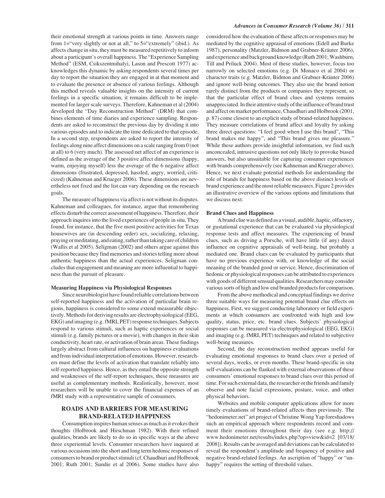their emotional strength at various points in time. Answers range from 1="very slightly or not at all," to 5="extremely" (ibid.). As affects change in situ, they must be measured repetitively to inform about a participant's overall happiness. The "Experience Sampling Method" (ESM, Csikszentmihalyi, Lason and Prescott 1977) acknowledges this dynamic by asking respondents several times per day to report the situation they are engaged in at that moment and to evaluate the presence or absence of various feelings. Although this method reveals valuable insights on the intensity of current feelings in a specific situation, it remains difficult to be implemented for larger scale surveys. Therefore, Kahneman et al (2004) developed the "Day Reconstruction Method" (DRM) that combines elements of time diaries and experience sampling. Respondents are asked to reconstruct the previous day by dividing it into various episodes and to indicate the time dedicated to that episode. In a second step, respondents are asked to report the intensity of feelings along nine affect dimensions on a scale ranging from 0 (not at all) to 6 (very much). The assessed net affect of an experience is defined as the average of the 3 positive affect dimensions (happy, warm, enjoying myself) less the average of the 6 negative affect dimensions (frustrated, depressed, hassled, angry, worried, criticized) (Kahneman and Krueger 2006). These dimensions are nevertheless not fixed and the list can vary depending on the research goals.

The measure of happiness via affect is not without its disputes. Kahneman and colleagues, for instance, argue that remembering effects disturb the correct assessment of happiness. Therefore, their approach inquires into the lived experiences of people in situ. They found, for instance, that the five most positive activities for Texas housewives are (in descending order) sex, socializing, relaxing, praying or meditating, and eating, rather than taking care of children (Wallis et al 2005). Seligman (2002) and others argue against this position because they find memories and stories telling more about authentic happiness than the actual experiences. Seligman concludes that engagement and meaning are more influential to happiness than the pursuit of pleasure.

#### **Measuring Happiness via Physiological Responses**

Since neurobiologist have found reliable correlations between self-reported happiness and the activation of particular brain regions, happiness is considered to some extend measurable objectively. Methods for deriving results are electrophysiological (EEG, EKG) and imaging (e.g. fMRI, PET) response techniques. Subjects respond to various stimuli, such as haptic experiences or social stimuli (e.g. family pictures or a movie), with changes in their skin conductivity, heart rate, or activation of brain areas. These findings largely abstract from cultural influences on happiness evaluations and from individual interpretation of emotions. However, researchers must define the levels of activation that translate reliably into self-reported happiness. Hence, as they entail the opposite strength and weaknesses of the self-report techniques, these measures are useful as complementary methods. Realistically, however, most researchers will be unable to cover the financial expenses of an fMRI study with a representative sample of consumers.

# **ROADS AND BARRIERS FOR MEASURING BRAND-RELATED HAPPINESS**

Consumption inspires human senses as much as it evokes their thoughts (Holbrook and Hirschman 1982). With their refined qualities, brands are likely to do so in specific ways at the above three experiential levels. Consumer researchers have inquired at various occasions into the short and long term hedonic responses of consumers to brand or product stimuli (cf. Chaudhuri and Holbrook 2001; Ruth 2001; Sundie et al 2006). Some studies have also

#### *Advances in Consumer Research (Volume 36)* **/ 311**

considered how the evaluation of these affects or responses may be mediated by the cognitive appraisal of emotions (Edell and Burke 1987), personality (Matzler, Bidmon and Grabner-Kräuter 2006), and experience and background knowledge (Ruth 2001; Washburn, Till and Priluck 2004). Most of these studies, however, focus too narrowly on selected emotions (e.g. Di Monaco et al 2004) or character traits (e.g. Matzler, Bidmon and Grabner-Kräuter 2006) and ignore well-being outcomes. They also use the brand notion rarely distinct from the products or companies they represent, so that the particular effect of brand clues and systems remains unappreciated. In their attentive study of the influence of brand trust and affect on market performance, Chaudhuri and Holbrook (2001, p. 87) come closest to an explicit study of brand-related happiness. They measure correlations of brand affect and loyalty by asking three direct questions: "I feel good when I use this brand", "This brand makes me happy", and "This brand gives me pleasure." While these authors provide insightful information, we find such unconcealed, intrusive questions not only likely to provoke biased answers, but also unsuitable for capturing consumer experiences with brands comprehensively (see Kahneman and Krueger above). Hence, we next evaluate potential methods for understanding the role of brands for happiness based on the above distinct levels of brand experience and the most reliable measures. Figure 2 provides an illustrative overview of the various options and limitations that we discuss next.

#### **Brand Clues and Happiness**

A brand clue was defined as a visual, audible, haptic, olfactory, or gustational experience that can be evaluated via physiological response tests and affect measures. The experiencing of brand clues, such as driving a Porsche, will have little (if any) direct influence on cognitive appraisals of well-being, but probably a mediated one. Brand clues can be evaluated by participants that have no previous experience with, or knowledge of the social meaning of the branded good or service. Hence, discrimination of hedonic or physiological responses can be attributed to experiences with goods of different sensual qualities. Researchers may consider various sorts of high and low end branded products for comparison.

From the above methodical and conceptual findings we derive three suitable ways for measuring potential brand clue effects on happiness. First, we suggest conducting laboratory or field experiments at which consumers are confronted with high and low quality, status, price, etc. brand clues. Subjects' physiological responses can be measured via electrophysiological (EEG, EKG) and imaging (e.g. fMRI, PET) techniques and related to subjective well-being measures.

Second, the day reconstruction method appears useful for evaluating emotional responses to brand clues over a period of several days, weeks, or even months. These brand-specific in situ self-evaluations can be flanked with external observations of these consumers' emotional responses to brand clues over this period of time. For such external data, the researcher or the friends and family observe and note facial expressions, posture, voice, and other physical behaviors.

Websites and mobile computer applications allow for more timely evaluations of brand-related affects then previously. The "hedonimeter.net" art project of Christine Wong Yap foreshadows such an empirical approach where respondents record and comment their emotions throughout their day (see e.g. http:// www.hedonimeter.net/results/index.php?op=view&id=2 [03/18/ 2008]). Results can be averaged and deviations can be calculated to reveal the respondent's amplitude and frequency of positive and negative brand-related feelings. An ascription of "happy" or "unhappy" requires the setting of threshold values.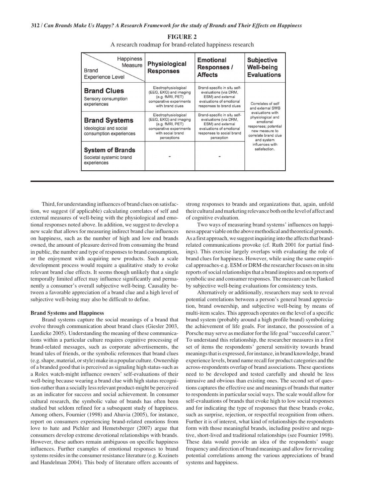| FIGURE |
|--------|
|--------|

A research roadmap for brand-related happiness research

| Happiness<br>Measure<br>Brand<br>Experience Level                         | Physiological<br><b>Responses</b>                                                                                                 | Emotional<br>Responses /<br><b>Affects</b>                                                                                                        | Subjective<br>Well-being<br>Evaluations                                                                                                                                                                           |
|---------------------------------------------------------------------------|-----------------------------------------------------------------------------------------------------------------------------------|---------------------------------------------------------------------------------------------------------------------------------------------------|-------------------------------------------------------------------------------------------------------------------------------------------------------------------------------------------------------------------|
| <b>Brand Clues</b><br>Sensory consumption<br>experiences                  | Electrophysiological<br>(EEG, EKG) and imaging<br>(e.g. fMRI, PET)<br>comparative experiments<br>with brand clues                 | Brand-specific in situ self-<br>evaluations (via DRM,<br>ESM) and external<br>evaluations of emotional<br>responses to brand clues                | Correlates of self<br>and external SWB<br>evaluations with<br>physiological and<br>emotional<br>responses; potential<br>new measure to<br>correlate brand clue.<br>and system<br>influences with<br>satisfaction. |
| <b>Brand Systems</b><br>Ideological and social<br>consumption experiences | Electrophysiological<br>(EEG, EKG) and imaging<br>(e.g. fMRI, PET)<br>comparative experiments<br>with social brand<br>perceptions | Brand-specific in situ self-<br>evaluations (via DRM,<br>ESM) and external<br>evaluations of emotional<br>responses to social brand<br>perception |                                                                                                                                                                                                                   |
| <b>System of Brands</b><br>Societal systemic brand<br>experiences         |                                                                                                                                   |                                                                                                                                                   |                                                                                                                                                                                                                   |

Third, for understanding influences of brand clues on satisfaction, we suggest (if applicable) calculating correlates of self and external measures of well-being with the physiological and emotional responses noted above. In addition, we suggest to develop a new scale that allows for measuring indirect brand clue influences on happiness, such as the number of high and low end brands owned, the amount of pleasure derived from consuming the brand in public, the number and type of responses to brand consumption, or the enjoyment with acquiring new products. Such a scale development process would require a qualitative study to evoke relevant brand clue effects. It seems though unlikely that a single temporally limited affect may influence significantly and permanently a consumer's overall subjective well-being. Causality between a favorable appreciation of a brand clue and a high level of subjective well-being may also be difficult to define.

#### **Brand Systems and Happiness**

Brand systems capture the social meanings of a brand that evolve through communication about brand clues (Giesler 2003, Luedicke 2005). Understanding the meaning of these communications within a particular culture requires cognitive processing of brand-related messages, such as corporate advertisements, the brand tales of friends, or the symbolic references that brand clues (e.g. shape, material, or style) make in a popular culture. Ownership of a branded good that is perceived as signaling high status-such as a Rolex watch-might influence owners' self-evaluations of their well-being because wearing a brand clue with high status recognition-rather than a socially less relevant product-might be perceived as an indicator for success and social achievement. In consumer cultural research, the symbolic value of brands has often been studied but seldom refined for a subsequent study of happiness. Among others, Fournier (1998) and Ahuvia (2005), for instance, report on consumers experiencing brand-related emotions from love to hate and Pichler and Hemetsberger (2007) argue that consumers develop extreme devotional relationships with brands. However, these authors remain ambiguous on specific happiness influences. Further examples of emotional responses to brand systems resides in the consumer resistance literature (e.g. Kozinets and Handelman 2004). This body of literature offers accounts of strong responses to brands and organizations that, again, unfold their cultural and marketing relevance both on the level of affect and of cognitive evaluation.

Two ways of measuring brand systems' influences on happiness appear viable on the above methodical and theoretical grounds. As a first approach, we suggest inquiring into the affects that brandrelated communications provoke (cf. Ruth 2001 for partial findings). This exercise largely overlaps with evaluating the role of brand clues for happiness. However, while using the same empirical approaches-e.g. ESM or DRM-the researcher focuses on in situ reports of social relationships that a brand inspires and on reports of symbolic use and consumer responses. The measure can be flanked by subjective well-being evaluations for consistency tests.

Alternatively or additionally, researchers may seek to reveal potential correlations between a person's general brand appreciation, brand ownership, and subjective well-being by means of multi-item scales. This approach operates on the level of a specific brand system (probably around a high profile brand) symbolizing the achievement of life goals. For instance, the possession of a Porsche may serve as mediator for the life goal "successful career." To understand this relationship, the researcher measures in a first set of items the respondents' general sensitivity towards brand meanings that is expressed, for instance, in brand knowledge, brand experience levels, brand name recall for product categories and the across-respondents overlap of brand associations. These questions need to be developed and tested carefully and should be less intrusive and obvious than existing ones. The second set of questions captures the effective use and meanings of brands that matter to respondents in particular social ways. The scale would allow for self-evaluations of brands that evoke high to low social responses and for indicating the type of responses that these brands evoke, such as surprise, rejection, or respectful recognition from others. Further it is of interest, what kind of relationships the respondents form with those meaningful brands, including positive and negative, short-lived and traditional relationships (see Fournier 1998). These data would provide an idea of the respondents' usage frequency and direction of brand meanings and allow for revealing potential correlations among the various appreciations of brand systems and happiness.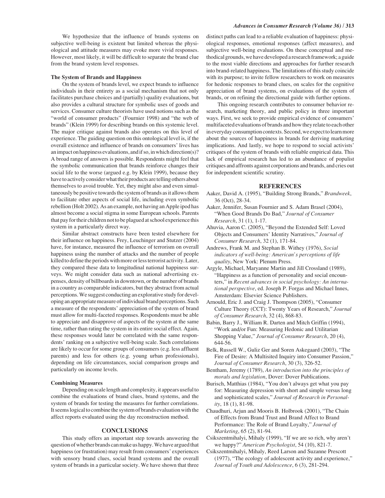We hypothesize that the influence of brands systems on subjective well-being is existent but limited whereas the physiological and attitude measures may evoke more vivid responses. However, most likely, it will be difficult to separate the brand clue from the brand system level responses.

#### **The System of Brands and Happiness**

On the system of brands level, we expect brands to influence individuals in their entirety as a social mechanism that not only facilitates purchase choices and (partially) quality evaluations, but also provides a cultural structure for symbolic uses of goods and services. Consumer culture theorists have used notions such as the "world of consumer products" (Fournier 1998) and "the web of brands" (Klein 1999) for describing brands on this systemic level. The major critique against brands also operates on this level of experience. The guiding question on this ontological level is, if the overall existence and influence of brands on consumers' lives has an impact on happiness evaluations, and if so, in which direction(s)? A broad range of answers is possible. Respondents might feel that the symbolic communication that brands reinforce changes their social life to the worse (argued e.g. by Klein 1999), because they have to actively consider what their products are telling others about themselves to avoid trouble. Yet, they might also and even simultaneously be positive towards the system of brands as it allows them to facilitate other aspects of social life, including even symbolic rebellion (Holt 2002). As an example, not having an Apple ipod has almost become a social stigma in some European schools. Parents that pay for their children not to be plagued at school experience this system in a particularly direct way.

Similar abstract constructs have been tested elsewhere for their influence on happiness. Frey, Leuchinger and Stutzer (2004) have, for instance, measured the influence of terrorism on overall happiness using the number of attacks and the number of people killed to define the periods with more or less terrorist activity. Later, they compared these data to longitudinal national happiness surveys. We might consider data such as national advertising expenses, density of billboards in downtown, or the number of brands in a country as comparable indicators, but they abstract from actual perceptions. We suggest conducting an explorative study for developing an appropriate measure of individual brand perceptions. Such a measure of the respondents' appreciation of the system of brand must allow for multi-faceted responses. Respondents must be able to appreciate and disapprove of aspects of the system at the same time, rather than rating the system in its entire social effect. Again, these responses would later be correlated with the same respondents' ranking on a subjective well-being scale. Such correlations are likely to occur for some groups of consumers (e.g. less affluent parents) and less for others (e.g. young urban professionals), depending on life circumstances, social comparison groups and particularly on income levels.

#### **Combining Measures**

Depending on scale length and complexity, it appears useful to combine the evaluations of brand clues, brand systems, and the system of brands for testing the measures for further correlations. It seems logical to combine the system of brands evaluation with the affect reports evaluated using the day reconstruction method.

#### **CONCLUSIONS**

This study offers an important step towards answering the question of whether brands can make us happy. We have argued that happiness (or frustration) may result from consumers' experiences with sensory brand clues, social brand systems and the overall system of brands in a particular society. We have shown that three

distinct paths can lead to a reliable evaluation of happiness: physiological responses, emotional responses (affect measures), and subjective well-being evaluations. On these conceptual and methodical grounds, we have developed a research framework; a guide to the most viable directions and approaches for further research into brand-related happiness. The limitations of this study coincide with its purpose; to invite fellow researchers to work on measures for hedonic responses to brand clues, on scales for the cognitive appreciation of brand systems, on evaluations of the system of brands, or on refining the directional guide with further options.

This ongoing research contributes to consumer behavior research, marketing theory, and public policy in three important ways. First, we seek to provide empirical evidence of consumers' multifaceted evaluations of brands and how they relate to each other in everyday consumption contexts. Second, we expect to learn more about the sources of happiness in brands for deriving marketing implications. And lastly, we hope to respond to social activists' critiques of the system of brands with reliable empirical data. This lack of empirical research has led to an abundance of populist critiques and affronts against corporations and brands, and cries out for independent scientific scrutiny.

#### **REFERENCES**

- Aaker, David A. (1995), "Building Strong Brands," *Brandweek*, 36 (Oct), 28-34.
- Aaker, Jennifer, Susan Fournier and S. Adam Brasel (2004), "When Good Brands Do Bad," *Journal of Consumer Research*, 31 (1), 1-17.
- Ahuvia, Aaron C. (2005), "Beyond the Extended Self: Loved Objects and Consumers' Identity Narratives," *Journal of Consumer Research*, 32 (1), 171-84.
- Andrews, Frank M. and Stephan B. Withey (1976), *Social indicators of well-being: American's perceptions of life quality*, New York: Plenum Press.
- Argyle, Michael, Maryanne Martin and Jill Crossland (1989), "Happiness as a function of personality and social encounters," in *Recent advances in social psychology: An international perspective*, ed. Joseph P. Forgas and Michael Innes, Amsterdam: Elsevier Science Publishers.
- Arnould, Eric J. and Craig J. Thompson (2005), "Consumer Culture Theory (CCT): Twenty Years of Research," *Journal of Consumer Research*, 32 (4), 868-83.
- Babin, Barry J., William R. Darten and Mitch Griffin (1994), "Work and/or Fun: Measuring Hedonic and Utilitarian Shopping Value," *Journal of Consumer Research*, 20 (4), 644-56.
- Belk, Russell W., Guliz Ger and Soren Askegaard (2003), "The Fire of Desire: A Multisited Inquiry into Consumer Passion," *Journal of Consumer Research*, 30 (3), 326-52.
- Bentham, Jeremy (1789), *An introduction into the principles of morals and legislation*, Dover: Dover Publications.
- Burisch, Matthias (1984), "You don't always get what you pay for: Measuring depression with short and simple versus long and sophisticated scales," *Journal of Research in Personality*, 18 (1), 81-98.
- Chaudhuri, Arjun and Mooris B. Holbrook (2001), "The Chain of Effects from Brand Trust and Brand Affect to Brand Performance: The Role of Brand Loyalty," *Journal of Marketing*, 65 (2), 81-94.
- Csikszentmihalyi, Mihaly (1999), "If we are so rich, why aren't we happy?" *American Psychologist*, 54 (10), 821-7.
- Csikszentmihalyi, Mihaly, Reed Larson and Suzanne Prescott (1977), "The ecology of adolescent activity and experience," *Journal of Youth and Adolescence*, 6 (3), 281-294.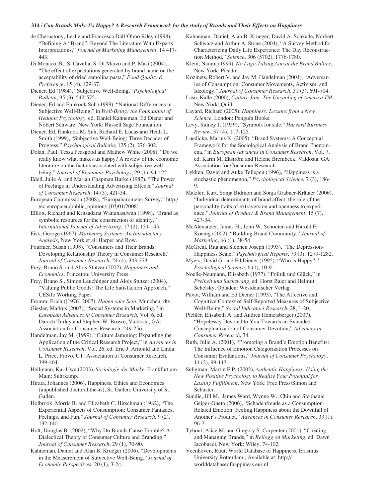#### **314 /** *Can Brands Make Us Happy? A Research Framework for the study of Brands and Their Effects on Happiness*

de Chernatony, Leslie and Francesca Dall'Olmo Riley (1998), "Defining A "Brand": Beyond The Literature With Experts' Interpretations," *Journal of Marketing Management*, 14 417- 443.

Di Monaco, R., S. Cavella, S. Di Marzo and P. Masi (2004), "The effect of expectations generated by brand name on the acceptability of dried semolina pasta," *Food Quality & Preference*, 15 (4), 429-37.

Diener, Ed (1984), "Subjective Well-Being," *Psychological Bulletin*, 95 (3), 542-575.

Diener, Ed and Eunkook Suh (1999), "National Differences in Subjective Well-Being," in *Well-Being: the Foundation of Hedonic Psychology*, ed. Daniel Kahneman, Ed Diener and Nobert Schwarz, New York: Russell Sage Foundation.

Diener, Ed, Eunkook M. Suh, Richard E. Lucas and Heidi L. Smith (1999), "Subjective Well-Being: Three Decades of Progress," *Psychological Bulletin*, 125 (2), 276-302.

Dolan, Paul, Tessa Peasgood and Mathew White (2008), "Do we really know what makes us happy? A review of the economic literature on the factors associated with subjective wellbeing," *Journal of Economic Psychology*, 29 (1), 94-122.

Edell, Julie A. and Marian Chapman Burke (1987), "The Power of Feelings in Understanding Advertising Effects," *Journal of Consumer Research*, 14 (3), 421-34.

European Commission (2008), "Europabarometer Survey," http:/ /ec.europa.eu/public\_opinion/, [03/01/2008]

Elliott, Richard and Kritsadarat Wattanasuwan (1998), "Brand as symbolic resources for the construction of identity," *International Journal of Advertising*, 17 (2), 131-145.

Fisk, George (1967), *Marketing Systems: An Introductory Analysis*, New York et al: Harper and Row.

Fournier, Susan (1998), "Consumers and Their Brands: Developing Relationship Theory in Consumer Research," *Journal of Consumer Research*, 24 (4), 343-373.

Frey, Bruno S. and Alois Stutzer (2002): *Happiness and Economics*, Princeton: University Press.

Frey, Bruno S., Simon Leuchinger and Alois Stutzer (2004), "Valuing Public Goods: The Life Satisfaction Approach," CESifo Working Paper.

Fromm, Erich ([1976] 2007), *Haben oder Sein*, München: dtv.

Giesler, Markus (2003), "Social Systems in Marketing," in *European Advances in Consumer Research*, Vol. 6, ed. Darach Turley and Stephen W. Brown, Valdosta, GA: Association for Consumer Research, 249-256.

Handelman, Jay M. (1999), "Culture Jamming: Expanding the Application of the Critical Research Project," in *Advances in Consumer Research*, Vol. 26, ed. Eric J. Arnould and Linda L. Price, Provo, UT: Association of Consumer Research, 399-404.

Hellmann, Kai-Uwe (2003), *Soziologie der Marke*, Frankfurt am Main: Suhrkamp.

Hirata, Johannes (2006), Happiness, Ethics and Economics (unpublished doctoral thesis), St. Gallen: University of St. Gallen.

Holbrook, Morris B. and Elizabeth C. Hirschman (1982), "The Experiential Aspects of Consumption: Consumer Fantasies, Feelings, and Fun," *Journal of Consumer Research*, 9 (2), 132-140.

Holt, Douglas B. (2002), "Why Do Brands Cause Trouble? A Dialectical Theory of Consumer Culture and Branding," *Journal of Consumer Research*, 29 (1), 70-90.

Kahneman, Daniel and Alan B. Krueger (2006), "Developments in the Measurement of Subjective Well-Being," *Journal of Economic Perspectives*, 20 (1), 3-24.

Kahneman, Daniel, Alan B. Krueger, David A. Schkade, Norbert Schwarz and Arthur A. Stone (2004), "A Survey Method for Characterizing Daily Life Experience: The Day Reconstruction Method," *Science*, 306 (5702), 1776-1780.

Klein, Naomi (1999), *No Logo-Taking Aim at the Brand Bullies*, New York: Picador.

Kozinets, Robert V. and Jay M. Handelman (2004), "Adversaries of Consumption: Consumer Movements, Activism, and Ideology," *Journal of Consumer Research*, 31 (3), 691-704.

Lasn, Kalle (2000), *Culture Jam: The Uncooling of America TM*, New York: Quill.

Layard, Richard (2005), *Happiness: Lessons from a New Science*, London: Penguin Books.

Levy, Sidney J. (1959), "Symbols for sale," *Harvard Business Review*, 37 (4), 117-125.

Luedicke, Marius K. (2005), "Brand Systems: A Conceptual Framework for the Sociological Analysis of Brand Phenomena," in *European Advances in Consumer Research*, Vol. 7, ed. Karin M. Ekström and Helene Brembeck, Valdosta, GA: Association for Consumer Research.

Lykken, David and Auke Tellegen (1996), "Happiness is a stochastic phenomenon," *Psychological Science*, 7 (3), 186- 9.

Matzler, Kurt, Sonja Bidmon and Sonja Grabner-Kräuter (2006), "Individual determinants of brand affect: the role of the personality traits of extraversion and openness to experience," *Journal of Product & Brand Management*, 15 (7), 427-34.

McAlexander, James H., John W. Schouten and Harold F. Koenig (2002), "Building Brand Community," *Journal of Marketing*, 66 (1), 38-54.

McGreal, Rita and Stephen Joseph (1993), "The Depression-Happiness Scale," *Psychological Reports*, 73 (3), 1279-1282.

Myers, David G. and Ed Diener (1995), "Who is Happy?," *Psychological Science*, 6 (1), 10-9.

Noelle-Neumann, Elisabeth (1977), "Politik und Glück," in *Freiheit und Sachzwang*, ed. Horst Baier and Helmut Schelsky, Opladen: Westdeutscher Verlag.

Pavot, William and Ed Diener (1993), "The Affective and Cognitive Context of Self-Reported Measures of Subjective Well-Being," *Social Indicators Research*, 28, 1-20.

Pichler, Elisabeth A. and Andrea Hemetsberger (2007), "Hopelessly Devoted to You-Towards an Extended Conceptualization of Consumer Devotion," *Advances in Consumer Research*, 34.

Ruth, Julie A. (2001), "Promoting a Brand's Emotion Benefits: The Influence of Emotion Categorization Processes on Consumer Evaluations," *Journal of Consumer Psychology*, 11 (2), 99-113.

Seligman, Martin E.P. (2002), *Authentic Happiness: Using the New Positive Psychology to Realize Your Potential for Lasting Fulfillment*, New York: Free Press/Simon and Schuster.

Sundie, Jill M., James Ward, Wynne W.; Chin and Stephanie Geiger-Oneto (2006), "Schadenfreude as a Consumption-Related Emotion: Feeling Happiness about the Downfall of Another's Product," *Advances in Consumer Research*, 33 (1), 96-7.

Tybout, Alice M. and Gregory S. Carpenter (2001), "Creating and Managing Brands," in *Kellogg on Marketing*, ed. Dawn Iacobucci, New York: Wiley, 74-102.

Veenhoven, Ruut, World Database of Happiness, Erasmus University Rotterdam., Available at: http:// worlddatabaseofhappiness.eur.nl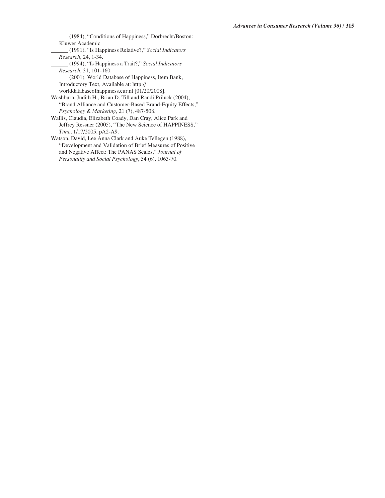(1984), "Conditions of Happiness," Dorbrecht/Boston: Kluwer Academic.

 (1991), "Is Happiness Relative?," *Social Indicators Research*, 24, 1-34.

 (1994), "Is Happiness a Trait?," *Social Indicators Research*, 31, 101-160.

 (2001), World Database of Happiness, Item Bank, Introductory Text, Available at: http:// worlddatabaseofhappiness.eur.nl [01/20/2008].

Washburn, Judith H., Brian D. Till and Randi Priluck (2004), "Brand Alliance and Customer-Based Brand-Equity Effects," *Psychology & Marketing*, 21 (7), 487-508.

Wallis, Claudia, Elizabeth Coady, Dan Cray, Alice Park and Jeffrey Ressner (2005), "The New Science of HAPPINESS," *Time*, 1/17/2005, pA2-A9.

Watson, David, Lee Anna Clark and Auke Tellegen (1988), "Development and Validation of Brief Measures of Positive and Negative Affect: The PANAS Scales," *Journal of Personality and Social Psychology*, 54 (6), 1063-70.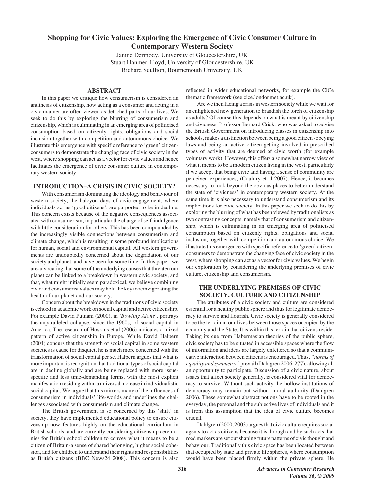# **Shopping for Civic Values: Exploring the Emergence of Civic Consumer Culture in Contemporary Western Society**

Janine Dermody, University of Gloucestershire, UK Stuart Hanmer-Lloyd, University of Gloucestershire, UK Richard Scullion, Bournemouth University, UK

### **ABSTRACT**

In this paper we critique how consumerism is considered an antithesis of citizenship, how acting as a consumer and acting in a civic manner are often viewed as detached parts of our lives. We seek to do this by exploring the blurring of consumerism and citizenship, which is culminating in an emerging area of politicised consumption based on citizenly rights, obligations and social inclusion together with competition and autonomous choice. We illustrate this emergence with specific reference to 'green' citizenconsumers to demonstrate the changing face of civic society in the west, where shopping can act as a vector for civic values and hence facilitates the emergence of civic consumer culture in contemporary western society.

# **INTRODUCTION–A CRISIS IN CIVIC SOCIETY?**

With consumerism dominating the ideology and behaviour of western society, the halcyon days of civic engagement, where individuals act as 'good citizens', are purported to be in decline. This concern exists because of the negative consequences associated with consumerism, in particular the charge of self-indulgence with little consideration for others. This has been compounded by the increasingly visible connections between consumerism and climate change, which is resulting in some profound implications for human, social and environmental capital. All western governments are undoubtedly concerned about the degradation of our society and planet, and have been for some time. In this paper, we are advocating that some of the underlying causes that threaten our planet can be linked to a breakdown in western civic society, and that, what might initially seem paradoxical, we believe combining civic and consumerist values may hold the key to reinvigorating the health of our planet and our society.

Concern about the breakdown in the traditions of civic society is echoed in academic work on social capital and active citizenship. For example David Putnam (2000), in *'Bowling Alone',* portrays the unparalleled collapse, since the 1960s, of social capital in America. The research of Hoskins et al (2006) indicates a mixed pattern of active citizenship in Europe. While David Halpern (2004) concurs that the strength of social capital in some western societies is cause for disquiet, he is much more concerned with the transformation of social capital per se. Halpern argues that what is more important is recognition that traditional types of social capital are in decline globally and are being replaced with more issuespecific and less time-demanding forms, with the most explicit manifestation residing within a universal increase in individualistic social capital. We argue that this mirrors many of the influences of consumerism in individuals' life-worlds and underlines the challenges associated with consumerism and climate change.

The British government is so concerned by this 'shift' in society, they have implemented educational policy to ensure citizenship now features highly on the educational curriculum in British schools, and are currently considering citizenship ceremonies for British school children to convey what it means to be a citizen of Britain-a sense of shared belonging, higher social cohesion, and for children to understand their rights and responsibilities as British citizens (BBC News24 2008). This concern is also reflected in wider educational networks, for example the CiCe thematic framework (see cice.londonmet.ac.uk).

Are we then facing a crisis in western society while we wait for an enlightened new generation to brandish the torch of citizenship as adults? Of course this depends on what is meant by citizenship and civicness. Professor Bernard Crick, who was asked to advise the British Government on introducing classes in citizenship into schools, makes a distinction between being a good citizen -obeying laws-and being an active citizen-getting involved in prescribed types of activity that are deemed of civic worth (for example voluntary work). However, this offers a somewhat narrow view of what it means to be a modern citizen living in the west, particularly if we accept that being civic and having a sense of community are perceived experiences, (Couldry et al 2007). Hence, it becomes necessary to look beyond the obvious places to better understand the state of 'civicness' in contemporary western society. At the same time it is also necessary to understand consumerism and its implications for civic society. In this paper we seek to do this by exploring the blurring of what has been viewed by traditionalists as two contrasting concepts, namely that of consumerism and citizenship, which is culminating in an emerging area of politicised consumption based on citizenly rights, obligations and social inclusion, together with competition and autonomous choice. We illustrate this emergence with specific reference to 'green' citizenconsumers to demonstrate the changing face of civic society in the west, where shopping can act as a vector for civic values. We begin our exploration by considering the underlying premises of civic culture, citizenship and consumerism.

### **THE UNDERLYING PREMISES OF CIVIC SOCIETY, CULTURE AND CITIZENSHIP**

The attributes of a civic society and culture are considered essential for a healthy public sphere and thus for legitimate democracy to survive and flourish. Civic society is generally considered to be the terrain in our lives between those spaces occupied by the economy and the State. It is within this terrain that citizens reside. Taking its cue from Habermasian theories of the public sphere, civic society has to be situated in accessible spaces where the flow of information and ideas are largely unfettered so that a communicative interaction between citizens is encouraged. Thus, *"norms of equality and symmetry"* prevail (Dahlgren 2006, 277), allowing all an opportunity to participate. Discussion of a civic nature, about issues that affect society generally, is considered vital for democracy to survive. Without such activity the hollow institutions of democracy may remain but without moral authority (Dahlgren 2006). These somewhat abstract notions have to be rooted in the everyday, the personal and the subjective lives of individuals and it is from this assumption that the idea of civic culture becomes crucial.

Dahlgren (2000, 2003) argues that civic culture requires social agents to act as citizens because it is through and by such acts that road markers are set out shaping future patterns of civic thought and behaviour. Traditionally this civic space has been located between that occupied by state and private life spheres, where consumption would have been placed firmly within the private sphere. He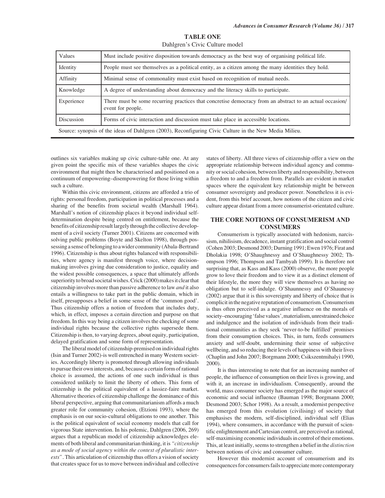| Values                                                                                                 | Must include positive disposition towards democracy as the best way of organising political life.                            |
|--------------------------------------------------------------------------------------------------------|------------------------------------------------------------------------------------------------------------------------------|
| Identity                                                                                               | People must see themselves as a political entity, as a citizen among the many identities they hold.                          |
| Affinity                                                                                               | Minimal sense of commonality must exist based on recognition of mutual needs.                                                |
| Knowledge                                                                                              | A degree of understanding about democracy and the literacy skills to participate.                                            |
| Experience                                                                                             | There must be some recurring practices that concretise democracy from an abstract to an actual occasion<br>event for people. |
| Discussion                                                                                             | Forms of civic interaction and discussion must take place in accessible locations.                                           |
| Source: synopsis of the ideas of Dahlgren (2003), Reconfiguring Civic Culture in the New Media Milieu. |                                                                                                                              |

**TABLE ONE** Dahlgren's Civic Culture model

outlines six variables making up civic culture-table one. At any given point the specific mix of these variables shapes the civic environment that might then be characterised and positioned on a continuum of empowering–disempowering for those living within such a culture.

Within this civic environment, citizens are afforded a trio of rights: personal freedom, participation in political processes and a sharing of the benefits from societal wealth (Marshall 1964). Marshall's notion of citizenship places it beyond individual selfdetermination despite being centred on entitlement, because the benefits of citizenship result largely through the collective development of a civil society (Turner 2001). Citizens are concerned with solving public problems (Boyte and Skelton 1998), through possessing a sense of belonging to a wider community (Abala-Bertrand 1996). Citizenship is thus about rights balanced with responsibilities, where agency is manifest through voice, where decisionmaking involves giving due consideration to justice, equality and the widest possible consequences, a space that ultimately affords superiority to broad societal wishes. Crick (2000) makes it clear that citizenship involves more than passive adherence to law *and* it also entails a willingness to take part in the public domain, which in itself, presupposes a belief in some sense of the 'common good'. Thus citizenship offers a notion of freedom that includes duty, which, in effect, imposes a certain direction and purpose on that freedom. In this way being a citizen involves the checking of some individual rights because the collective rights supersede them. Citizenship is then, to varying degrees, about equity, participation, delayed gratification and some form of representation.

The liberal model of citizenship-premised on individual rights (Isin and Turner 2002)-is well entrenched in many Western societies. Accordingly liberty is promoted through allowing individuals to pursue their own interests, and, because a certain form of rational choice is assumed, the actions of one such individual is thus considered unlikely to limit the liberty of others. This form of citizenship is the political equivalent of a lassiez-faire market. Alternative theories of citizenship challenge the dominance of this liberal perspective, arguing that communitarianism affords a much greater role for community cohesion, (Etzioni 1993), where the emphasis is on our socio-cultural obligations to one another. This is the political equivalent of social economy models that call for vigorous State intervention. In his polemic, Dahlgren (2006, 269) argues that a republican model of citizenship acknowledges elements of both liberal and communitarian thinking, it is *"citizenship as a mode of social agency within the context of pluralistic interests"*. This articulation of citizenship thus offers a vision of society that creates space for us to move between individual and collective

states of liberty. All three views of citizenship offer a view on the appropriate relationship between individual agency and community or social cohesion, between liberty and responsibility, between a freedom to and a freedom from. Parallels are evident in market spaces where the equivalent key relationship might be between consumer sovereignty and producer power. Nonetheless it is evident, from this brief account, how notions of the citizen and civic culture appear distant from a more consumerist-orientated culture.

# **THE CORE NOTIONS OF CONSUMERISM AND CONSUMERS**

Consumerism is typically associated with hedonism, narcissism, nihilisism, decadence, instant gratification and social control (Cohen 2003; Desmond 2003; Durning 1991; Ewen 1976; Firat and Dholakia 1998; O'Shaughnessy and O'Shaughnessy 2002; Thompson 1996; Thompson and Tambyah 1999). It is therefore not surprising that, as Kass and Kass (2000) observe, the more people grow to love their freedom and to view it as a distinct element of their lifestyle, the more they will view themselves as having no obligation but to self-indulge. O'Shaunnessy and O'Shaunessy (2002) argue that it is this sovereignty and liberty of choice that is complicit in the negative reputation of consumerism. Consumerism is thus often perceived as a negative influence on the morals of society–encouraging 'false values', materialism, unrestrained choice and indulgence and the isolation of individuals from their traditional communities as they seek 'never-to-be fulfilled' promises from their consumption choices. This, in turn, feeds consumers anxiety and self-doubt, undermining their sense of subjective wellbeing, and so reducing their levels of happiness with their lives (Chaplin and John 2007; Borgmann 2000; Csikszentmihalyi 1990, 2000).

It is thus interesting to note that for an increasing number of people, the influence of consumption on their lives is growing, and with it, an increase in individualism. Consequently, around the world, mass consumer society has emerged as the major source of economic and social influence (Bauman 1998; Borgmann 2000; Desmond 2003; Schor 1998). As a result, a modernist perspective has emerged from this evolution (civilising) of society that emphasises the modern, self-disciplined, individual self (Elias 1994), where consumers, in accordance with the pursuit of scientific enlightenment and Cartesian control, are perceived as rational, self-maximising economic individuals in control of their emotions. This, at least initially, seems to strengthen a belief in the *distinction* between notions of civic and consumer culture.

However this modernist account of consumerism and its consequences for consumers fails to appreciate more contemporary